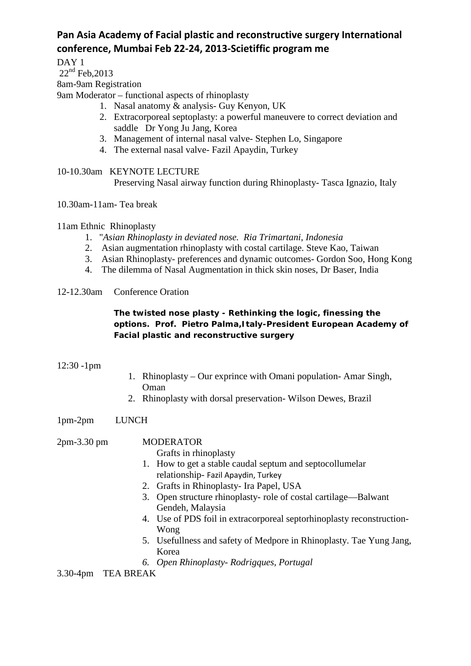# **Pan Asia Academy of Facial plastic and reconstructive surgery International conference, Mumbai Feb 22-24, 2013-Scietiffic program me**

DAY<sub>1</sub>

 $22<sup>nd</sup>$  Feb, 2013

### 8am-9am Registration

9am Moderator – functional aspects of rhinoplasty

- 1. Nasal anatomy & analysis- Guy Kenyon, UK
- 2. Extracorporeal septoplasty: a powerful maneuvere to correct deviation and saddle Dr Yong Ju Jang, Korea
- 3. Management of internal nasal valve- Stephen Lo, Singapore
- 4. The external nasal valve- Fazil Apaydin, Turkey
- 10-10.30am KEYNOTE LECTURE Preserving Nasal airway function during Rhinoplasty- Tasca Ignazio, Italy

10.30am-11am- Tea break

11am Ethnic Rhinoplasty

- 1. "*Asian Rhinoplasty in deviated nose. Ria Trimartani, Indonesia*
- 2. Asian augmentation rhinoplasty with costal cartilage. Steve Kao, Taiwan
- 3. Asian Rhinoplasty- preferences and dynamic outcomes- Gordon Soo, Hong Kong
- 4. The dilemma of Nasal Augmentation in thick skin noses, Dr Baser, India

#### 12-12.30am Conference Oration

### **The twisted nose plasty - Rethinking the logic, finessing the options. Prof. Pietro Palma,Italy-President European Academy of Facial plastic and reconstructive surgery**

#### 12:30 -1pm

- 1. Rhinoplasty Our exprince with Omani population- Amar Singh, Oman
- 2. Rhinoplasty with dorsal preservation- Wilson Dewes, Brazil

1pm-2pm LUNCH

## 2pm-3.30 pm MODERATOR

Grafts in rhinoplasty

- 1. How to get a stable caudal septum and septocollumelar relationship- Fazil Apaydin, Turkey
- 2. Grafts in Rhinoplasty- Ira Papel, USA
- 3. Open structure rhinoplasty- role of costal cartilage—Balwant Gendeh, Malaysia
- 4. Use of PDS foil in extracorporeal septorhinoplasty reconstruction-Wong
- 5. Usefullness and safety of Medpore in Rhinoplasty. Tae Yung Jang, Korea
- *6. Open Rhinoplasty- Rodrigques, Portugal*

3.30-4pm TEA BREAK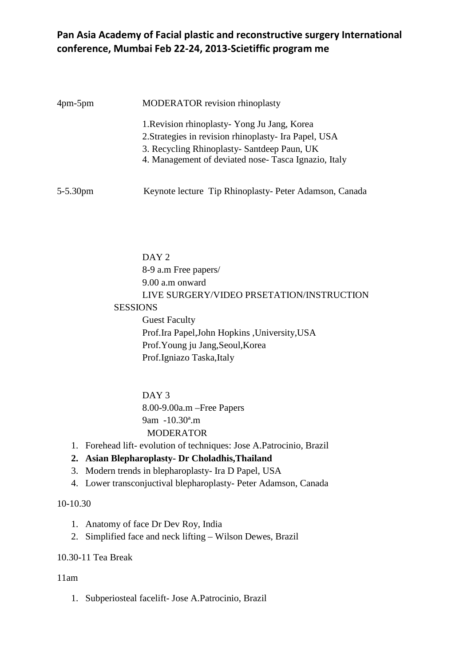# **Pan Asia Academy of Facial plastic and reconstructive surgery International conference, Mumbai Feb 22-24, 2013-Scietiffic program me**

| $4 \text{pm-}5 \text{pm}$ | <b>MODERATOR</b> revision rhinoplasty                                                                                                                                                                        |
|---------------------------|--------------------------------------------------------------------------------------------------------------------------------------------------------------------------------------------------------------|
|                           | 1. Revision rhinoplasty - Yong Ju Jang, Korea<br>2. Strategies in revision rhinoplasty- Ira Papel, USA<br>3. Recycling Rhinoplasty- Santdeep Paun, UK<br>4. Management of deviated nose-Tasca Ignazio, Italy |
| $5 - 5.30$ pm             | Keynote lecture Tip Rhinoplasty- Peter Adamson, Canada                                                                                                                                                       |

DAY<sub>2</sub> 8-9 a.m Free papers/ 9.00 a.m onward LIVE SURGERY/VIDEO PRSETATION/INSTRUCTION SESSIONS Guest Faculty Prof.Ira Papel,John Hopkins ,University,USA Prof.Young ju Jang,Seoul,Korea Prof.Igniazo Taska,Italy

> DAY<sub>3</sub> 8.00-9.00a.m –Free Papers 9am -10.30ª.m **MODERATOR**

1. Forehead lift- evolution of techniques: Jose A.Patrocinio, Brazil

# **2. Asian Blepharoplasty- Dr Choladhis,Thailand**

- 3. Modern trends in blepharoplasty- Ira D Papel, USA
- 4. Lower transconjuctival blepharoplasty- Peter Adamson, Canada

### 10-10.30

- 1. Anatomy of face Dr Dev Roy, India
- 2. Simplified face and neck lifting Wilson Dewes, Brazil

#### 10.30-11 Tea Break

#### 11am

1. Subperiosteal facelift- Jose A.Patrocinio, Brazil